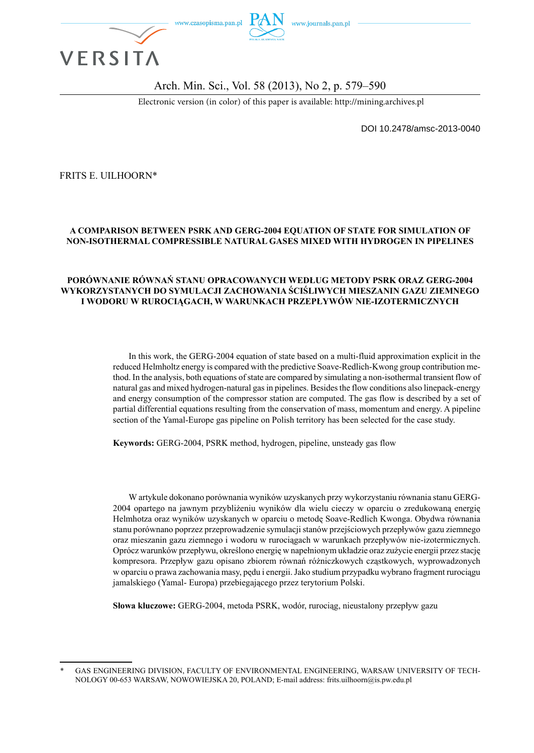

#### Arch. Min. Sci., Vol. 58 (2013), No 2, p. 579–590

Electronic version (in color) of this paper is available: http://mining.archives.pl

DOI 10.2478/amsc-2013-0040

FRITS E. UILHOORN\*

#### **A COMPARISON BETWEEN PSRK AND GERG-2004 EQUATION OF STATE FOR SIMULATION OF NON-ISOTHERMAL COMPRESSIBLE NATURAL GASES MIXED WITH HYDROGEN IN PIPELINES**

#### **PORÓWNANIE RÓWNAŃ STANU OPRACOWANYCH WEDŁUG METODY PSRK ORAZ GERG-2004 WYKORZYSTANYCH DO SYMULACJI ZACHOWANIA ŚCIŚLIWYCH MIESZANIN GAZU ZIEMNEGO I WODORU W RUROCIĄGACH, W WARUNKACH PRZEPŁYWÓW NIE-IZOTERMICZNYCH**

In this work, the GERG-2004 equation of state based on a multi-fluid approximation explicit in the reduced Helmholtz energy is compared with the predictive Soave-Redlich-Kwong group contribution method. In the analysis, both equations of state are compared by simulating a non-isothermal transient flow of natural gas and mixed hydrogen-natural gas in pipelines. Besides the flow conditions also linepack-energy and energy consumption of the compressor station are computed. The gas flow is described by a set of partial differential equations resulting from the conservation of mass, momentum and energy. A pipeline section of the Yamal-Europe gas pipeline on Polish territory has been selected for the case study.

**Keywords:** GERG-2004, PSRK method, hydrogen, pipeline, unsteady gas flow

W artykule dokonano porównania wyników uzyskanych przy wykorzystaniu równania stanu GERG-2004 opartego na jawnym przybliżeniu wyników dla wielu cieczy w oparciu o zredukowaną energię Helmhotza oraz wyników uzyskanych w oparciu o metodę Soave-Redlich Kwonga. Obydwa równania stanu porównano poprzez przeprowadzenie symulacji stanów przejściowych przepływów gazu ziemnego oraz mieszanin gazu ziemnego i wodoru w rurociągach w warunkach przepływów nie-izotermicznych. Oprócz warunków przepływu, określono energię w napełnionym układzie oraz zużycie energii przez stację kompresora. Przepływ gazu opisano zbiorem równań różniczkowych cząstkowych, wyprowadzonych w oparciu o prawa zachowania masy, pędu i energii. Jako studium przypadku wybrano fragment rurociągu jamalskiego (Yamal- Europa) przebiegającego przez terytorium Polski.

**Słowa kluczowe:** GERG-2004, metoda PSRK, wodór, rurociąg, nieustalony przepływ gazu

GAS ENGINEERING DIVISION, FACULTY OF ENVIRONMENTAL ENGINEERING, WARSAW UNIVERSITY OF TECH-NOLOGY 00-653 WARSAW, NOWOWIEJSKA 20, POLAND; E-mail address: frits.uilhoorn@is.pw.edu.pl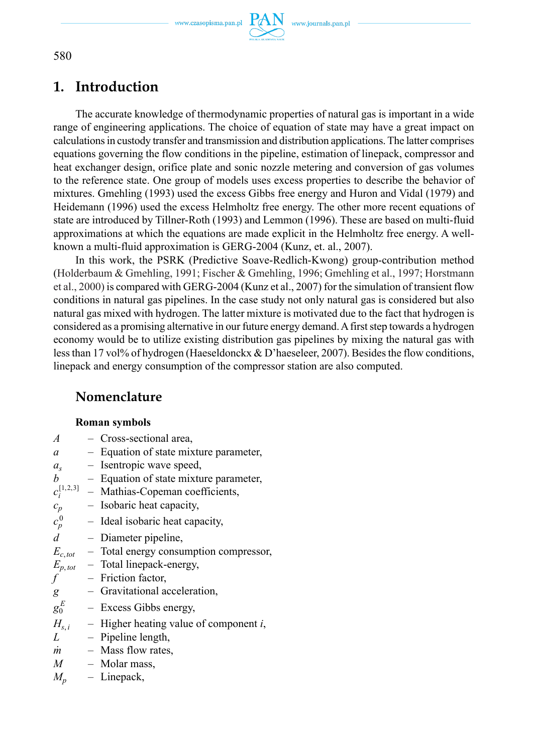

580

# **1. Introduction**

The accurate knowledge of thermodynamic properties of natural gas is important in a wide range of engineering applications. The choice of equation of state may have a great impact on calculations in custody transfer and transmission and distribution applications. The latter comprises equations governing the flow conditions in the pipeline, estimation of linepack, compressor and heat exchanger design, orifice plate and sonic nozzle metering and conversion of gas volumes to the reference state. One group of models uses excess properties to describe the behavior of mixtures. Gmehling (1993) used the excess Gibbs free energy and Huron and Vidal (1979) and Heidemann (1996) used the excess Helmholtz free energy. The other more recent equations of state are introduced by Tillner-Roth (1993) and Lemmon (1996). These are based on multi-fluid approximations at which the equations are made explicit in the Helmholtz free energy. A wellknown a multi-fluid approximation is GERG-2004 (Kunz, et. al., 2007).

In this work, the PSRK (Predictive Soave-Redlich-Kwong) group-contribution method (Holderbaum & Gmehling, 1991; Fischer & Gmehling, 1996; Gmehling et al., 1997; Horstmann et al., 2000) is compared with GERG-2004 (Kunz et al., 2007) for the simulation of transient flow conditions in natural gas pipelines. In the case study not only natural gas is considered but also natural gas mixed with hydrogen. The latter mixture is motivated due to the fact that hydrogen is considered as a promising alternative in our future energy demand. A first step towards a hydrogen economy would be to utilize existing distribution gas pipelines by mixing the natural gas with less than 17 vol% of hydrogen (Haeseldonckx & D'haeseleer, 2007). Besides the flow conditions, linepack and energy consumption of the compressor station are also computed.

## **Nomenclature**

### **Roman symbols**

| $\overline{A}$ | - Cross-sectional area,                            |
|----------------|----------------------------------------------------|
| a              | - Equation of state mixture parameter,             |
| $a_{s}$        | - Isentropic wave speed,                           |
| b              | - Equation of state mixture parameter,             |
|                | $c_i^{[1,2,3]}$ – Mathias-Copeman coefficients,    |
| $c_p$          | - Isobaric heat capacity,                          |
| $c_p^0$        | - Ideal isobaric heat capacity,                    |
| $\overline{d}$ | - Diameter pipeline,                               |
|                | $E_{c,tot}$ – Total energy consumption compressor, |
|                | $E_{p,tot}$ – Total linepack-energy,               |
| $f^-$          | $-$ Friction factor,                               |
| g              | - Gravitational acceleration,                      |
| $g_0^E$        | - Excess Gibbs energy,                             |
|                | $H_{s,i}$ – Higher heating value of component i,   |
| L              | - Pipeline length,                                 |
| m              | - Mass flow rates,                                 |
|                | $M$ – Molar mass,                                  |
| $M_{n}$        | - Linepack,                                        |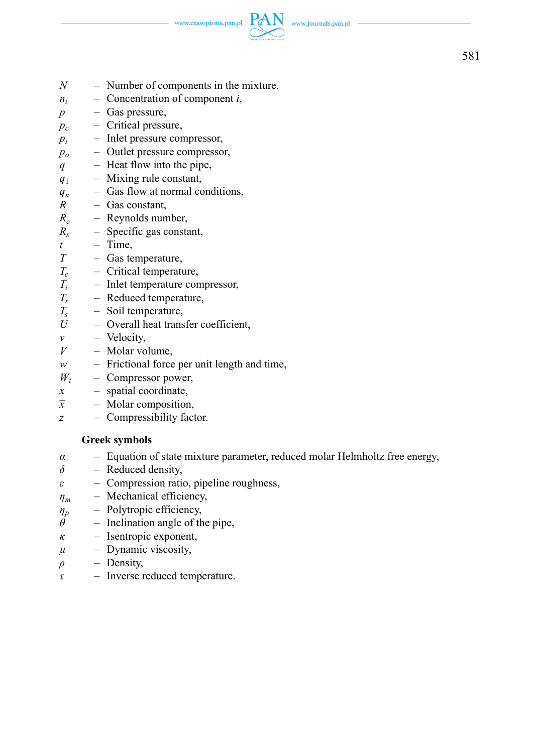www.czasopisma.pan.pl  $PA$ 



- *N* Number of components in the mixture,
- *ni –* Concentration of component *i*,
- *p* Gas pressure,
- *pc* Critical pressure,
- $p_i$  *–* Inlet pressure compressor,
- *p<sub>o</sub>* Outlet pressure compressor,
- *q* Heat flow into the pipe,
- *q*1Mixing rule constant,
- $q_n$  Gas flow at normal conditions,<br> $R$  Gas constant.
- *R* Gas constant,
- *Re* Reynolds number,
- *Rs* Specific gas constant,
- $t$  Time,
- *T* Gas temperature,
- *Tc* Critical temperature,
- $T_i$ <br> $T_r$  *–* Inlet temperature compressor,
- $T_r$  Reduced temperature,<br> $T_s$  Soil temperature,
- $T_s$  Soil temperature,<br> $I_l$  Overall heat trans
- Overall heat transfer coefficient,
- $v$  Velocity,
- *V* Molar volume,
- *w* Frictional force per unit length and time,
- $W_t$  *–* Compressor power,
- *x* spatial coordinate,
- *x – –* Molar composition,
- *z* Compressibility factor.

### **Greek symbols**

- *α* Equation of state mixture parameter, reduced molar Helmholtz free energy,
- *δ* Reduced density,
- *ε* Compression ratio, pipeline roughness,
- *ηm* Mechanical efficiency,
- *ηp* Polytropic efficiency,
- $\dot{\theta}$  Inclination angle of the pipe,
- *κ* Isentropic exponent,
- $\mu$  Dynamic viscosity,
- $\rho$  Density,
- *τ* Inverse reduced temperature.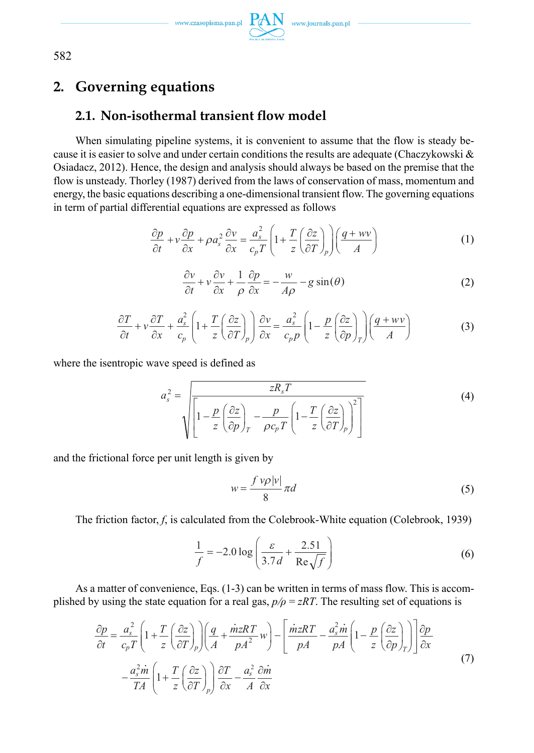$\begin{picture}(120,140)(0,0) \put(0,0){\vector(0,1){20}} \put(15,0){\vector(0,1){20}} \put(15,0){\vector(0,1){20}} \put(15,0){\vector(0,1){20}} \put(15,0){\vector(0,1){20}} \put(15,0){\vector(0,1){20}} \put(15,0){\vector(0,1){20}} \put(15,0){\vector(0,1){20}} \put(15,0){\vector(0,1){20}} \put(15,0){\vector(0,1){20}} \put(15,0){\vector(0,1){20}} \put(15,$ 

582

# **2. Governing equations**

## **2.1. Non-isothermal transient flow model**

When simulating pipeline systems, it is convenient to assume that the flow is steady because it is easier to solve and under certain conditions the results are adequate (Chaczykowski  $\&$ Osiadacz, 2012). Hence, the design and analysis should always be based on the premise that the flow is unsteady. Thorley (1987) derived from the laws of conservation of mass, momentum and energy, the basic equations describing a one-dimensional transient flow. The governing equations in term of partial differential equations are expressed as follows

$$
\frac{\partial p}{\partial t} + v \frac{\partial p}{\partial x} + \rho a_s^2 \frac{\partial v}{\partial x} = \frac{a_s^2}{c_p T} \left( 1 + \frac{T}{z} \left( \frac{\partial z}{\partial T} \right)_p \right) \left( \frac{q + wv}{A} \right)
$$
(1)

$$
\frac{\partial v}{\partial t} + v \frac{\partial v}{\partial x} + \frac{1}{\rho} \frac{\partial p}{\partial x} = -\frac{w}{A\rho} - g \sin(\theta)
$$
 (2)

$$
\frac{\partial T}{\partial t} + v \frac{\partial T}{\partial x} + \frac{a_s^2}{c_p} \left( 1 + \frac{T}{z} \left( \frac{\partial z}{\partial T} \right)_p \right) \frac{\partial v}{\partial x} = \frac{a_s^2}{c_p p} \left( 1 - \frac{p}{z} \left( \frac{\partial z}{\partial p} \right)_T \right) \left( \frac{q + wv}{A} \right)
$$
(3)

where the isentropic wave speed is defined as

$$
a_s^2 = \sqrt{\frac{zR_sT}{\left[1 - \frac{p}{z}\left(\frac{\partial z}{\partial p}\right)_T - \frac{p}{\rho c_p T}\left(1 - \frac{T}{z}\left(\frac{\partial z}{\partial T}\right)_p\right)^2\right]}}
$$
(4)

and the frictional force per unit length is given by

$$
w = \frac{f \nu \rho |\nu|}{8} \pi d \tag{5}
$$

The friction factor, *f*, is calculated from the Colebrook-White equation (Colebrook, 1939)

$$
\frac{1}{f} = -2.0 \log \left( \frac{\varepsilon}{3.7d} + \frac{2.51}{\text{Re}\sqrt{f}} \right)
$$
 (6)

As a matter of convenience, Eqs.  $(1-3)$  can be written in terms of mass flow. This is accomplished by using the state equation for a real gas,  $p/p = zRT$ . The resulting set of equations is

$$
\frac{\partial p}{\partial t} = \frac{a_s^2}{c_p T} \left( 1 + \frac{T}{z} \left( \frac{\partial z}{\partial T} \right)_p \right) \left( \frac{q}{A} + \frac{\dot{m} zRT}{pA^2} w \right) - \left[ \frac{\dot{m} zRT}{pA} - \frac{a_s^2 \dot{m}}{pA} \left( 1 - \frac{p}{z} \left( \frac{\partial z}{\partial p} \right)_T \right) \right] \frac{\partial p}{\partial x}
$$
\n
$$
- \frac{a_s^2 \dot{m}}{TA} \left( 1 + \frac{T}{z} \left( \frac{\partial z}{\partial T} \right)_p \right) \frac{\partial T}{\partial x} - \frac{a_s^2}{A} \frac{\partial \dot{m}}{\partial x}
$$
\n(7)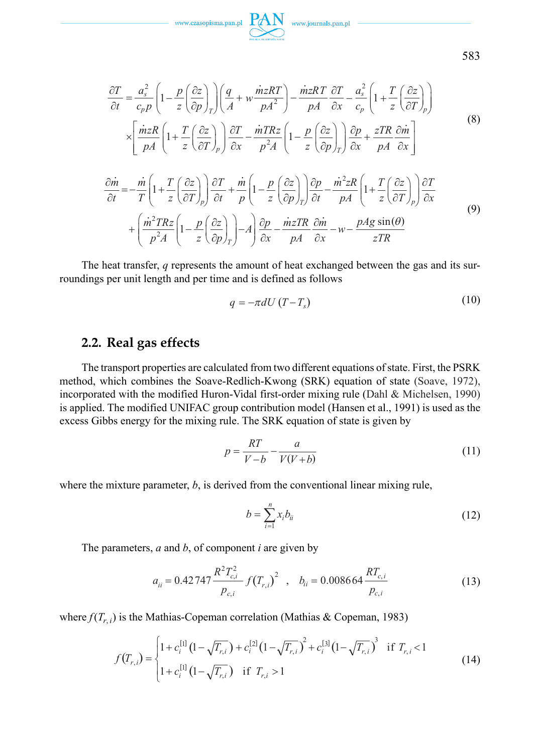

$$
\frac{\partial T}{\partial t} = \frac{a_s^2}{c_p p} \left( 1 - \frac{p}{z} \left( \frac{\partial z}{\partial p} \right)_T \right) \left( \frac{q}{A} + w \frac{\dot{m} zRT}{pA^2} \right) - \frac{\dot{m} zRT}{pA} \frac{\partial T}{\partial x} - \frac{a_s^2}{c_p} \left( 1 + \frac{T}{z} \left( \frac{\partial z}{\partial T} \right)_p \right)
$$
\n
$$
\times \left[ \frac{\dot{m} zR}{pA} \left( 1 + \frac{T}{z} \left( \frac{\partial z}{\partial T} \right)_p \right) \frac{\partial T}{\partial x} - \frac{\dot{m} TRz}{p^2 A} \left( 1 - \frac{p}{z} \left( \frac{\partial z}{\partial p} \right)_T \right) \frac{\partial p}{\partial x} + \frac{zTR}{pA} \frac{\partial \dot{m}}{\partial x} \right]
$$
\n
$$
\frac{\partial \dot{m}}{\partial t} = -\frac{\dot{m}}{T} \left( 1 + \frac{T}{z} \left( \frac{\partial z}{\partial T} \right)_p \right) \frac{\partial T}{\partial t} + \frac{\dot{m}}{p} \left( 1 - \frac{p}{z} \left( \frac{\partial z}{\partial p} \right)_T \right) \frac{\partial p}{\partial t} - \frac{\dot{m}^2 zR}{pA} \left( 1 + \frac{T}{z} \left( \frac{\partial z}{\partial T} \right)_p \right) \frac{\partial T}{\partial x}
$$
\n
$$
+ \left( \frac{\dot{m}^2 TRz}{p^2 A} \left( 1 - \frac{p}{z} \left( \frac{\partial z}{\partial p} \right)_T \right) - A \right) \frac{\partial p}{\partial x} - \frac{\dot{m} zTR}{pA} \frac{\partial \dot{m}}{\partial x} - w - \frac{pAg \sin(\theta)}{zTR}
$$
\n(9)

The heat transfer, *q* represents the amount of heat exchanged between the gas and its surroundings per unit length and per time and is defined as follows

$$
q = -\pi dU (T - T_s) \tag{10}
$$

### **2.2. Real gas effects**

The transport properties are calculated from two different equations of state. First, the PSRK method, which combines the Soave-Redlich-Kwong (SRK) equation of state (Soave, 1972), incorporated with the modified Huron-Vidal first-order mixing rule (Dahl & Michelsen, 1990) is applied. The modified UNIFAC group contribution model (Hansen et al., 1991) is used as the excess Gibbs energy for the mixing rule. The SRK equation of state is given by

$$
p = \frac{RT}{V - b} - \frac{a}{V(V + b)}\tag{11}
$$

where the mixture parameter, *b*, is derived from the conventional linear mixing rule,

$$
b = \sum_{i=1}^{n} x_i b_{ii} \tag{12}
$$

The parameters, *a* and *b*, of component *i* are given by

$$
a_{ii} = 0.42747 \frac{R^2 T_{c,i}^2}{p_{c,i}} f(T_{r,i})^2 , b_{ii} = 0.008664 \frac{R T_{c,i}}{p_{c,i}}
$$
(13)

where  $f(T_{r,i})$  is the Mathias-Copeman correlation (Mathias & Copeman, 1983)

$$
f(T_{r,i}) = \begin{cases} 1 + c_i^{[1]} \left(1 - \sqrt{T_{r,i}}\right) + c_i^{[2]} \left(1 - \sqrt{T_{r,i}}\right)^2 + c_i^{[3]} \left(1 - \sqrt{T_{r,i}}\right)^3 & \text{if } T_{r,i} < 1\\ 1 + c_i^{[1]} \left(1 - \sqrt{T_{r,i}}\right) & \text{if } T_{r,i} > 1 \end{cases}
$$
(14)

583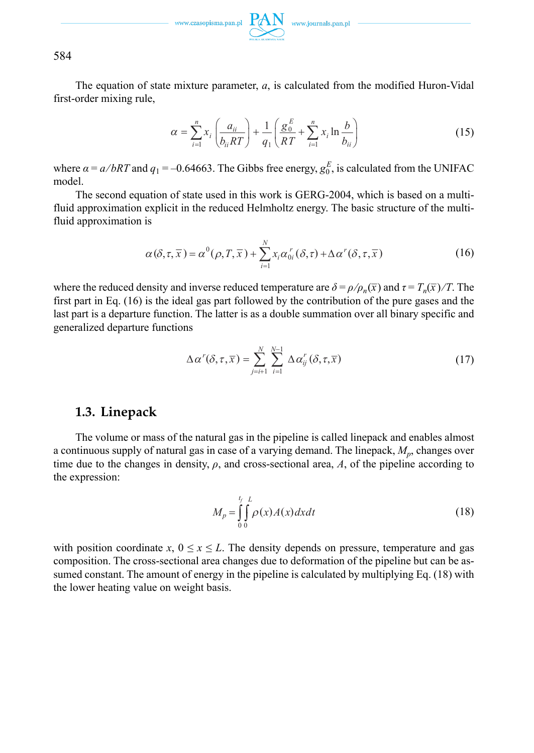584

The equation of state mixture parameter, *a*, is calculated from the modified Huron-Vidal first-order mixing rule,

$$
\alpha = \sum_{i=1}^{n} x_i \left( \frac{a_{ii}}{b_{ii} RT} \right) + \frac{1}{q_1} \left( \frac{g_0^E}{RT} + \sum_{i=1}^{n} x_i \ln \frac{b}{b_{ii}} \right)
$$
(15)

where  $\alpha = a/bRT$  and  $q_1 = -0.64663$ . The Gibbs free energy,  $g_0^E$ , is calculated from the UNIFAC model.

The second equation of state used in this work is GERG-2004, which is based on a multifluid approximation explicit in the reduced Helmholtz energy. The basic structure of the multifluid approximation is

$$
\alpha(\delta,\tau,\overline{x}) = \alpha^0(\rho,T,\overline{x}) + \sum_{i=1}^N x_i \alpha_{0i}^r(\delta,\tau) + \Delta \alpha^r(\delta,\tau,\overline{x})
$$
\n(16)

where the reduced density and inverse reduced temperature are  $\delta = \rho / \rho_n(\bar{x})$  and  $\tau = T_n(\bar{x}) / T$ . The first part in Eq. (16) is the ideal gas part followed by the contribution of the pure gases and the last part is a departure function. The latter is as a double summation over all binary specific and generalized departure functions

$$
\Delta \alpha^r(\delta, \tau, \overline{x}) = \sum_{j=i+1}^N \sum_{i=1}^{N-1} \Delta \alpha_{ij}^r(\delta, \tau, \overline{x})
$$
\n(17)

### **1.3. Linepack**

The volume or mass of the natural gas in the pipeline is called linepack and enables almost a continuous supply of natural gas in case of a varying demand. The linepack, *Mp*, changes over time due to the changes in density,  $\rho$ , and cross-sectional area, A, of the pipeline according to the expression:

$$
M_p = \int_{0}^{t_f} \int_{0}^{L} \rho(x)A(x)dxdt
$$
\n(18)

with position coordinate  $x$ ,  $0 \le x \le L$ . The density depends on pressure, temperature and gas composition. The cross-sectional area changes due to deformation of the pipeline but can be assumed constant. The amount of energy in the pipeline is calculated by multiplying Eq. (18) with the lower heating value on weight basis.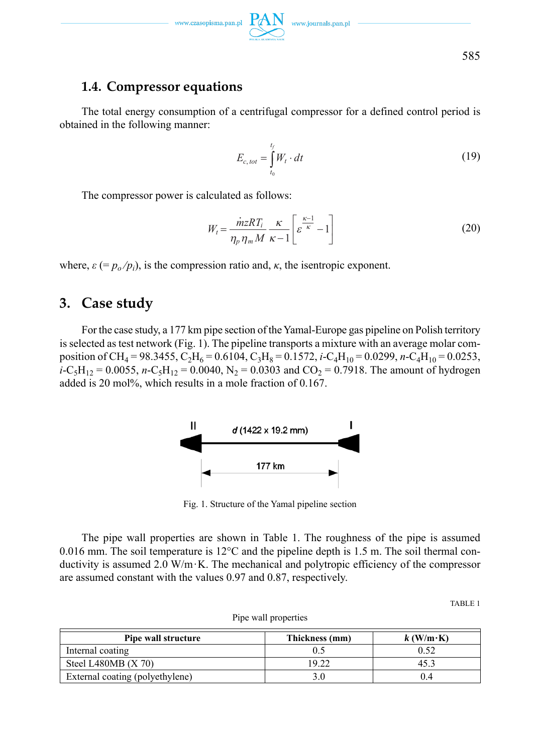

## **1.4. Compressor equations**

The total energy consumption of a centrifugal compressor for a defined control period is obtained in the following manner:

$$
E_{c,tot} = \int_{t_0}^{t_f} W_t \cdot dt \tag{19}
$$

The compressor power is calculated as follows:

$$
W_t = \frac{\dot{m}zRT_i}{\eta_p \eta_m M} \frac{\kappa}{\kappa - 1} \left[ \varepsilon^{\frac{\kappa - 1}{\kappa}} - 1 \right]
$$
 (20)

where,  $\varepsilon$  (=  $p_o/p_i$ ), is the compression ratio and,  $\kappa$ , the isentropic exponent.

## **3. Case study**

For the case study, a 177 km pipe section of the Yamal-Europe gas pipeline on Polish territory is selected as test network (Fig. 1). The pipeline transports a mixture with an average molar composition of CH4 = 98.3455, C2H6 = 0.6104, C3H8 = 0.1572, *i*-C4H10 = 0.0299, *n*-C4H10 = 0.0253,  $i-C_5H_{12} = 0.0055$ ,  $n-C_5H_{12} = 0.0040$ ,  $N_2 = 0.0303$  and  $CO_2 = 0.7918$ . The amount of hydrogen added is 20 mol%, which results in a mole fraction of 0.167.



Fig. 1. Structure of the Yamal pipeline section

The pipe wall properties are shown in Table 1. The roughness of the pipe is assumed 0.016 mm. The soil temperature is  $12^{\circ}$ C and the pipeline depth is 1.5 m. The soil thermal conductivity is assumed 2.0 W/m·K. The mechanical and polytropic efficiency of the compressor are assumed constant with the values 0.97 and 0.87, respectively.

TABLE 1

| Pipe wall structure             | Thickness (mm) | $k$ (W/m·K) |  |
|---------------------------------|----------------|-------------|--|
| Internal coating                |                |             |  |
| Steel L480MB $(X 70)$           | 19.22          |             |  |
| External coating (polyethylene) |                |             |  |

Pipe wall properties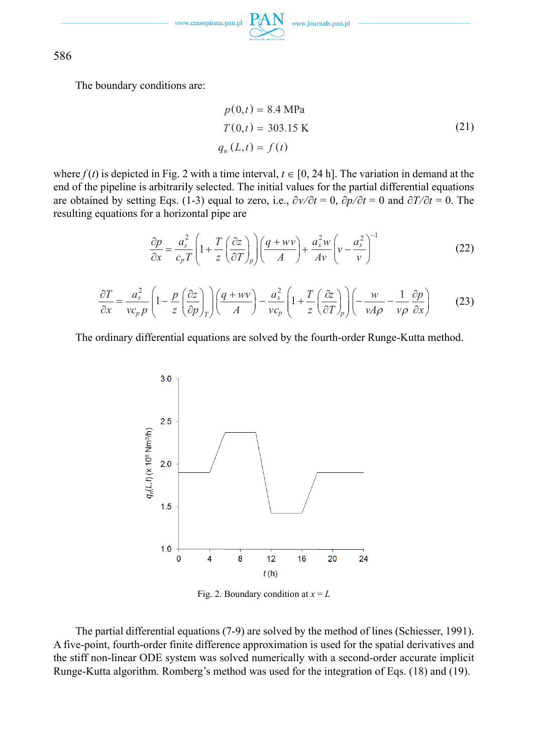www.czasopisma.pan.pl

www.journals.pan.p

586

The boundary conditions are:

$$
p(0,t) = 8.4 \text{ MPa}
$$
  
\n
$$
T(0,t) = 303.15 \text{ K}
$$
  
\n
$$
q_n(L,t) = f(t)
$$
\n(21)

where  $f(t)$  is depicted in Fig. 2 with a time interval,  $t \in [0, 24 \text{ h}]$ . The variation in demand at the end of the pipeline is arbitrarily selected. The initial values for the partial differential equations are obtained by setting Eqs. (1-3) equal to zero, i.e.,  $\frac{\partial v}{\partial t} = 0$ ,  $\frac{\partial p}{\partial t} = 0$  and  $\frac{\partial T}{\partial t} = 0$ . The resulting equations for a horizontal pipe are

$$
\frac{\partial p}{\partial x} = \frac{a_s^2}{c_p T} \left( 1 + \frac{T}{z} \left( \frac{\partial z}{\partial T} \right)_p \right) \left( \frac{q + wv}{A} \right) + \frac{a_s^2 w}{Av} \left( v - \frac{a_s^2}{v} \right)^{-1} \tag{22}
$$

$$
\frac{\partial T}{\partial x} = \frac{a_s^2}{vc_p p} \left( 1 - \frac{p}{z} \left( \frac{\partial z}{\partial p} \right)_T \right) \left( \frac{q + wv}{A} \right) - \frac{a_s^2}{vc_p} \left( 1 + \frac{T}{z} \left( \frac{\partial z}{\partial T} \right)_p \right) \left( -\frac{w}{vA\rho} - \frac{1}{v\rho} \frac{\partial p}{\partial x} \right) \tag{23}
$$

The ordinary differential equations are solved by the fourth-order Runge-Kutta method.



Fig. 2. Boundary condition at  $x = L$ 

The partial differential equations (7-9) are solved by the method of lines (Schiesser, 1991). A five-point, fourth-order finite difference approximation is used for the spatial derivatives and the stiff non-linear ODE system was solved numerically with a second-order accurate implicit Runge-Kutta algorithm. Romberg's method was used for the integration of Eqs. (18) and (19).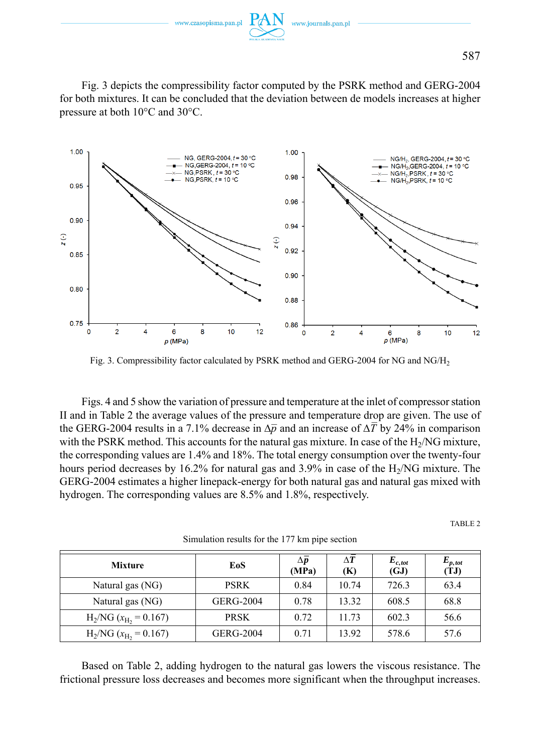

Fig. 3 depicts the compressibility factor computed by the PSRK method and GERG-2004 for both mixtures. It can be concluded that the deviation between de models increases at higher pressure at both 10°C and 30°C.



Fig. 3. Compressibility factor calculated by PSRK method and GERG-2004 for NG and NG/H2

Figs. 4 and 5 show the variation of pressure and temperature at the inlet of compressor station II and in Table 2 the average values of the pressure and temperature drop are given. The use of the GERG-2004 results in a 7.1% decrease in  $\Delta \bar{p}$  and an increase of  $\Delta \bar{T}$  by 24% in comparison with the PSRK method. This accounts for the natural gas mixture. In case of the  $H<sub>2</sub>/NG$  mixture, the corresponding values are 1.4% and 18%. The total energy consumption over the twenty-four hours period decreases by 16.2% for natural gas and 3.9% in case of the  $H<sub>2</sub>/NG$  mixture. The GERG-2004 estimates a higher linepack-energy for both natural gas and natural gas mixed with hydrogen. The corresponding values are 8.5% and 1.8%, respectively.

TABLE 2

| <b>Mixture</b>         | EoS              | $\Delta p$<br>(MPa) | $\Delta T$<br>(K) | $E_{c,tot}$<br>(GJ) | $E_{p,tot}$<br>(TJ) |
|------------------------|------------------|---------------------|-------------------|---------------------|---------------------|
| Natural gas (NG)       | <b>PSRK</b>      | 0.84                | 10.74             | 726.3               | 63.4                |
| Natural gas (NG)       | <b>GERG-2004</b> | 0.78                | 13.32             | 608.5               | 68.8                |
| $H_2/NG (x_H = 0.167)$ | <b>PRSK</b>      | 0.72                | 11.73             | 602.3               | 56.6                |
| $H_2/NG (x_H = 0.167)$ | <b>GERG-2004</b> | 0.71                | 13.92             | 578.6               | 57.6                |

Simulation results for the 177 km pipe section

Based on Table 2, adding hydrogen to the natural gas lowers the viscous resistance. The frictional pressure loss decreases and becomes more significant when the throughput increases.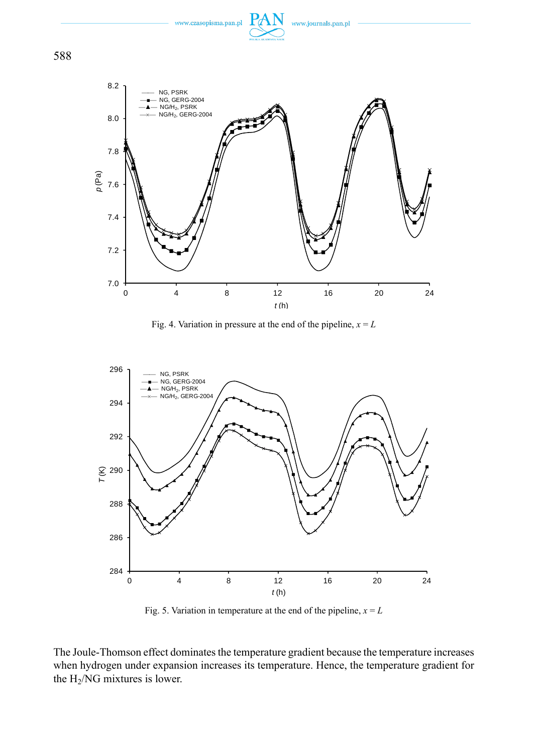

588



Fig. 4. Variation in pressure at the end of the pipeline,  $x = L$ 



Fig. 5. Variation in temperature at the end of the pipeline,  $x = L$ 

The Joule-Thomson effect dominates the temperature gradient because the temperature increases when hydrogen under expansion increases its temperature. Hence, the temperature gradient for the H2/NG mixtures is lower.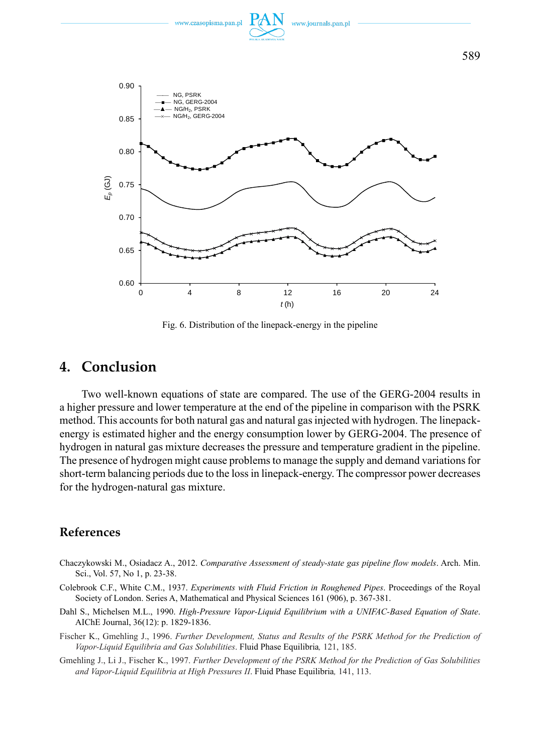

Fig. 6. Distribution of the linepack-energy in the pipeline

### **4. Conclusion**

Two well-known equations of state are compared. The use of the GERG-2004 results in a higher pressure and lower temperature at the end of the pipeline in comparison with the PSRK method. This accounts for both natural gas and natural gas injected with hydrogen. The linepackenergy is estimated higher and the energy consumption lower by GERG-2004. The presence of hydrogen in natural gas mixture decreases the pressure and temperature gradient in the pipeline. The presence of hydrogen might cause problems to manage the supply and demand variations for short-term balancing periods due to the loss in linepack-energy. The compressor power decreases for the hydrogen-natural gas mixture.

### **References**

- Chaczykowski M., Osiadacz A., 2012. *Comparative Assessment of steady-state gas pipeline flow models*. Arch. Min. Sci., Vol. 57, No 1, p. 23-38.
- Colebrook C.F., White C.M., 1937. *Experiments with Fluid Friction in Roughened Pipes*. Proceedings of the Royal Society of London. Series A, Mathematical and Physical Sciences 161 (906), p. 367-381.
- Dahl S., Michelsen M.L., 1990. *High-Pressure Vapor-Liquid Equilibrium with a UNIFAC-Based Equation of State*. AIChE Journal, 36(12): p. 1829-1836.
- Fischer K., Gmehling J., 1996. *Further Development, Status and Results of the PSRK Method for the Prediction of Vapor-Liquid Equilibria and Gas Solubilities*. Fluid Phase Equilibria*,* 121, 185.
- Gmehling J., Li J., Fischer K., 1997. *Further Development of the PSRK Method for the Prediction of Gas Solubilities and Vapor-Liquid Equilibria at High Pressures II*. Fluid Phase Equilibria*,* 141, 113.

589